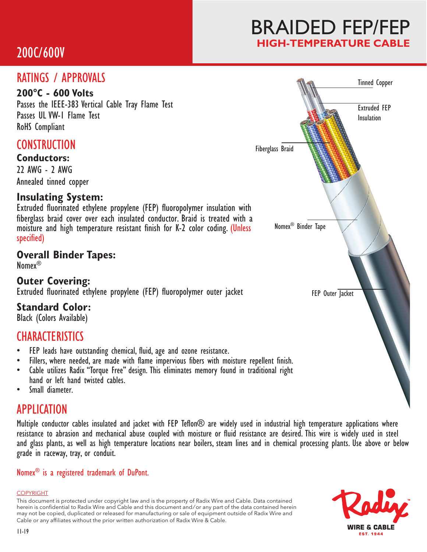# 200C/600V

# BRAIDED FEP/FEP **HIGH-TEMPERATURE CABLE**

## RATINGS / APPROVALS

### **200°C - 600 Volts**

Passes the IEEE-383 Vertical Cable Tray Flame Test Passes UL VW-1 Flame Test RoHS Compliant

### **CONSTRUCTION**

#### **Conductors:**

22 AWG - 2 AWG Annealed tinned copper

### **Insulating System:**

Extruded fluorinated ethylene propylene (FEP) fluoropolymer insulation with fiberglass braid cover over each insulated conductor. Braid is treated with a moisture and high temperature resistant finish for K-2 color coding. (Unless specified)

### **Overall Binder Tapes:**

Nomex®

**Outer Covering:** Extruded fluorinated ethylene propylene (FEP) fluoropolymer outer jacket

### **Standard Color:**

Black (Colors Available)

## **CHARACTERISTICS**

- FEP leads have outstanding chemical, fluid, age and ozone resistance.
- Fillers, where needed, are made with flame impervious fibers with moisture repellent finish.
- Cable utilizes Radix "Torque Free" design. This eliminates memory found in traditional right hand or left hand twisted cables.
- Small diameter.

## APPLICATION

Multiple conductor cables insulated and jacket with FEP Teflon® are widely used in industrial high temperature applications where resistance to abrasion and mechanical abuse coupled with moisture or fluid resistance are desired. This wire is widely used in steel and glass plants, as well as high temperature locations near boilers, steam lines and in chemical processing plants. Use above or below grade in raceway, tray, or conduit.

#### Nomex® is a registered trademark of DuPont.

#### COPYRIGHT

This document is protected under copyright law and is the property of Radix Wire and Cable. Data contained herein is confidential to Radix Wire and Cable and this document and / or any part of the data contained herein may not be copied, duplicated or released for manufacturing or sale of equipment outside of Radix Wire and Cable or any affiliates without the prior written authorization of Radix Wire & Cable.